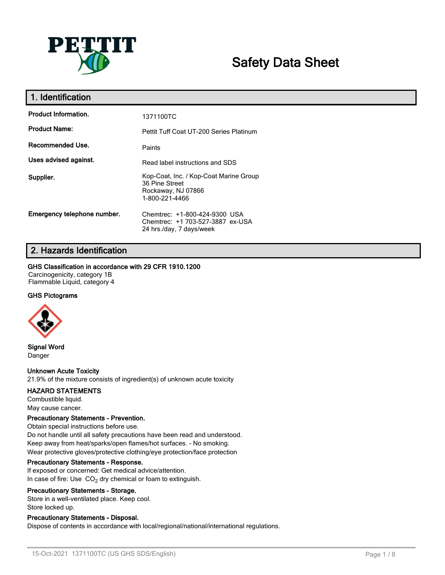

# **Safety Data Sheet**

| 1. Identification           |                                                                                                  |
|-----------------------------|--------------------------------------------------------------------------------------------------|
| <b>Product Information.</b> | 1371100TC                                                                                        |
| <b>Product Name:</b>        | Pettit Tuff Coat UT-200 Series Platinum                                                          |
| Recommended Use.            | Paints                                                                                           |
| Uses advised against.       | Read label instructions and SDS                                                                  |
| Supplier.                   | Kop-Coat, Inc. / Kop-Coat Marine Group<br>36 Pine Street<br>Rockaway, NJ 07866<br>1-800-221-4466 |
| Emergency telephone number. | Chemtrec: +1-800-424-9300 USA<br>Chemtrec: +1 703-527-3887 ex-USA<br>24 hrs./day, 7 days/week    |

# **2. Hazards Identification**

### **GHS Classification in accordance with 29 CFR 1910.1200**

Carcinogenicity, category 1B Flammable Liquid, category 4

### **GHS Pictograms**



**Signal Word** Danger

### **Unknown Acute Toxicity**

21.9% of the mixture consists of ingredient(s) of unknown acute toxicity

### **HAZARD STATEMENTS**

Combustible liquid. May cause cancer.

### **Precautionary Statements - Prevention.**

Obtain special instructions before use. Do not handle until all safety precautions have been read and understood. Keep away from heat/sparks/open flames/hot surfaces. - No smoking. Wear protective gloves/protective clothing/eye protection/face protection

### **Precautionary Statements - Response.**

If exposed or concerned: Get medical advice/attention. In case of fire: Use  $CO<sub>2</sub>$  dry chemical or foam to extinguish.

### **Precautionary Statements - Storage.**

Store in a well-ventilated place. Keep cool. Store locked up.

### **Precautionary Statements - Disposal.**

Dispose of contents in accordance with local/regional/national/international regulations.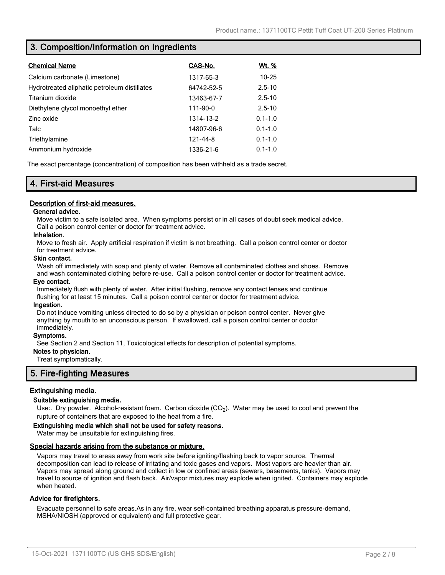## **3. Composition/Information on Ingredients**

| <b>Chemical Name</b>                         | CAS-No.    | <u>Wt. %</u> |
|----------------------------------------------|------------|--------------|
| Calcium carbonate (Limestone)                | 1317-65-3  | $10 - 25$    |
| Hydrotreated aliphatic petroleum distillates | 64742-52-5 | $2.5 - 10$   |
| Titanium dioxide                             | 13463-67-7 | $2.5 - 10$   |
| Diethylene glycol monoethyl ether            | 111-90-0   | $2.5 - 10$   |
| Zinc oxide                                   | 1314-13-2  | $0.1 - 1.0$  |
| Talc                                         | 14807-96-6 | $0.1 - 1.0$  |
| Triethylamine                                | 121-44-8   | $0.1 - 1.0$  |
| Ammonium hydroxide                           | 1336-21-6  | $0.1 - 1.0$  |

The exact percentage (concentration) of composition has been withheld as a trade secret.

## **4. First-aid Measures**

### **Description of first-aid measures.**

### **General advice.**

Move victim to a safe isolated area. When symptoms persist or in all cases of doubt seek medical advice. Call a poison control center or doctor for treatment advice.

### **Inhalation.**

Move to fresh air. Apply artificial respiration if victim is not breathing. Call a poison control center or doctor for treatment advice.

### **Skin contact.**

Wash off immediately with soap and plenty of water. Remove all contaminated clothes and shoes. Remove and wash contaminated clothing before re-use. Call a poison control center or doctor for treatment advice.

### **Eye contact.**

Immediately flush with plenty of water. After initial flushing, remove any contact lenses and continue flushing for at least 15 minutes. Call a poison control center or doctor for treatment advice.

### **Ingestion.**

Do not induce vomiting unless directed to do so by a physician or poison control center. Never give anything by mouth to an unconscious person. If swallowed, call a poison control center or doctor immediately.

### **Symptoms.**

See Section 2 and Section 11, Toxicological effects for description of potential symptoms.

### **Notes to physician.**

Treat symptomatically.

### **5. Fire-fighting Measures**

### **Extinguishing media.**

### **Suitable extinguishing media.**

Use:. Dry powder. Alcohol-resistant foam. Carbon dioxide (CO<sub>2</sub>). Water may be used to cool and prevent the rupture of containers that are exposed to the heat from a fire.

### **Extinguishing media which shall not be used for safety reasons.**

Water may be unsuitable for extinguishing fires.

### **Special hazards arising from the substance or mixture.**

Vapors may travel to areas away from work site before igniting/flashing back to vapor source. Thermal decomposition can lead to release of irritating and toxic gases and vapors. Most vapors are heavier than air. Vapors may spread along ground and collect in low or confined areas (sewers, basements, tanks). Vapors may travel to source of ignition and flash back. Air/vapor mixtures may explode when ignited. Containers may explode when heated.

### **Advice for firefighters.**

Evacuate personnel to safe areas.As in any fire, wear self-contained breathing apparatus pressure-demand, MSHA/NIOSH (approved or equivalent) and full protective gear.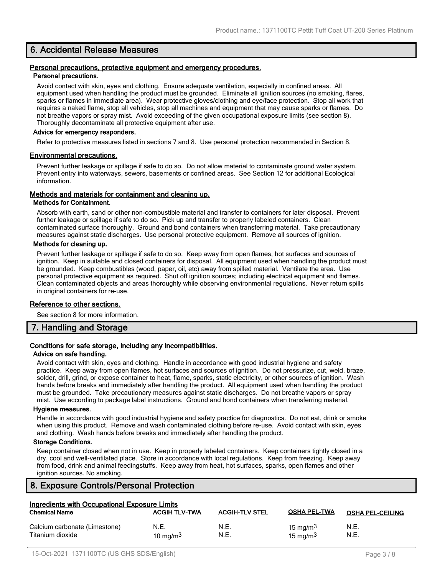### **6. Accidental Release Measures**

#### **Personal precautions, protective equipment and emergency procedures. Personal precautions.**

Avoid contact with skin, eyes and clothing. Ensure adequate ventilation, especially in confined areas. All equipment used when handling the product must be grounded. Eliminate all ignition sources (no smoking, flares, sparks or flames in immediate area). Wear protective gloves/clothing and eye/face protection. Stop all work that requires a naked flame, stop all vehicles, stop all machines and equipment that may cause sparks or flames. Do not breathe vapors or spray mist. Avoid exceeding of the given occupational exposure limits (see section 8). Thoroughly decontaminate all protective equipment after use.

#### **Advice for emergency responders.**

Refer to protective measures listed in sections 7 and 8. Use personal protection recommended in Section 8.

### **Environmental precautions.**

Prevent further leakage or spillage if safe to do so. Do not allow material to contaminate ground water system. Prevent entry into waterways, sewers, basements or confined areas. See Section 12 for additional Ecological information.

### **Methods and materials for containment and cleaning up.**

#### **Methods for Containment.**

Absorb with earth, sand or other non-combustible material and transfer to containers for later disposal. Prevent further leakage or spillage if safe to do so. Pick up and transfer to properly labeled containers. Clean contaminated surface thoroughly. Ground and bond containers when transferring material. Take precautionary measures against static discharges. Use personal protective equipment. Remove all sources of ignition.

### **Methods for cleaning up.**

Prevent further leakage or spillage if safe to do so. Keep away from open flames, hot surfaces and sources of ignition. Keep in suitable and closed containers for disposal. All equipment used when handling the product must be grounded. Keep combustibles (wood, paper, oil, etc) away from spilled material. Ventilate the area. Use personal protective equipment as required. Shut off ignition sources; including electrical equipment and flames. Clean contaminated objects and areas thoroughly while observing environmental regulations. Never return spills in original containers for re-use.

### **Reference to other sections.**

See section 8 for more information.

### **7. Handling and Storage**

### **Conditions for safe storage, including any incompatibilities.**

#### **Advice on safe handling.**

Avoid contact with skin, eyes and clothing. Handle in accordance with good industrial hygiene and safety practice. Keep away from open flames, hot surfaces and sources of ignition. Do not pressurize, cut, weld, braze, solder, drill, grind, or expose container to heat, flame, sparks, static electricity, or other sources of ignition. Wash hands before breaks and immediately after handling the product. All equipment used when handling the product must be grounded. Take precautionary measures against static discharges. Do not breathe vapors or spray mist. Use according to package label instructions. Ground and bond containers when transferring material.

#### **Hygiene measures.**

Handle in accordance with good industrial hygiene and safety practice for diagnostics. Do not eat, drink or smoke when using this product. Remove and wash contaminated clothing before re-use. Avoid contact with skin, eyes and clothing. Wash hands before breaks and immediately after handling the product.

### **Storage Conditions.**

Keep container closed when not in use. Keep in properly labeled containers. Keep containers tightly closed in a dry, cool and well-ventilated place. Store in accordance with local regulations. Keep from freezing. Keep away from food, drink and animal feedingstuffs. Keep away from heat, hot surfaces, sparks, open flames and other ignition sources. No smoking.

### **8. Exposure Controls/Personal Protection**

| Ingredients with Occupational Exposure Limits     |                      |                       |                            |                         |
|---------------------------------------------------|----------------------|-----------------------|----------------------------|-------------------------|
| <b>Chemical Name</b>                              | <b>ACGIH TLV-TWA</b> | <b>ACGIH-TLV STEL</b> | <b>OSHA PEL-TWA</b>        | <b>OSHA PEL-CEILING</b> |
| Calcium carbonate (Limestone)<br>Titanium dioxide | N.E.<br>10 mg/m $3$  | N.E.<br>N.E.          | 15 mg/m $3$<br>15 mg/m $3$ | N.E.<br>N.E.            |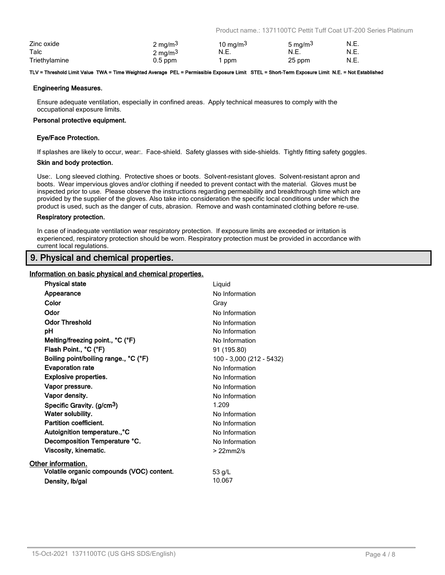Product name.: 1371100TC Pettit Tuff Coat UT-200 Series Platinum

| Zinc oxide    | 2 mg/m <sup>3</sup> | 10 mg/m <sup>3</sup> | 5 mg/m <sup>3</sup> | N.E. |
|---------------|---------------------|----------------------|---------------------|------|
| Talc          | $2 \text{ mg/m}^3$  | N.E.                 | N.E.                | N.E. |
| Triethylamine | $0.5$ ppm           | ppm                  | 25 ppm              | N.E. |

#### **TLV = Threshold Limit Value TWA = Time Weighted Average PEL = Permissible Exposure Limit STEL = Short-Term Exposure Limit N.E. = Not Established**

#### **Engineering Measures.**

Ensure adequate ventilation, especially in confined areas. Apply technical measures to comply with the occupational exposure limits.

#### **Personal protective equipment.**

#### **Eye/Face Protection.**

If splashes are likely to occur, wear:. Face-shield. Safety glasses with side-shields. Tightly fitting safety goggles.

#### **Skin and body protection.**

Use:. Long sleeved clothing. Protective shoes or boots. Solvent-resistant gloves. Solvent-resistant apron and boots. Wear impervious gloves and/or clothing if needed to prevent contact with the material. Gloves must be inspected prior to use. Please observe the instructions regarding permeability and breakthrough time which are provided by the supplier of the gloves. Also take into consideration the specific local conditions under which the product is used, such as the danger of cuts, abrasion. Remove and wash contaminated clothing before re-use.

#### **Respiratory protection.**

In case of inadequate ventilation wear respiratory protection. If exposure limits are exceeded or irritation is experienced, respiratory protection should be worn. Respiratory protection must be provided in accordance with current local regulations.

### **9. Physical and chemical properties.**

### **Information on basic physical and chemical properties.**

| <b>Physical state</b>                     | Liquid                   |
|-------------------------------------------|--------------------------|
| Appearance                                | No Information           |
| Color                                     | Gray                     |
| Odor                                      | No Information           |
| <b>Odor Threshold</b>                     | No Information           |
| рH                                        | No Information           |
| Melting/freezing point., °C (°F)          | No Information           |
| Flash Point., °C (°F)                     | 91 (195.80)              |
| Boiling point/boiling range., °C (°F)     | 100 - 3,000 (212 - 5432) |
| <b>Evaporation rate</b>                   | No Information           |
| <b>Explosive properties.</b>              | No Information           |
| Vapor pressure.                           | No Information           |
| Vapor density.                            | No Information           |
| Specific Gravity. (g/cm <sup>3</sup> )    | 1.209                    |
| Water solubility.                         | No Information           |
| <b>Partition coefficient.</b>             | No Information           |
| Autoignition temperature°C                | No Information           |
| Decomposition Temperature °C.             | No Information           |
| Viscosity, kinematic.                     | $>22$ mm $2/s$           |
| Other information.                        |                          |
| Volatile organic compounds (VOC) content. | 53 $q/L$                 |
| Density, Ib/gal                           | 10.067                   |
|                                           |                          |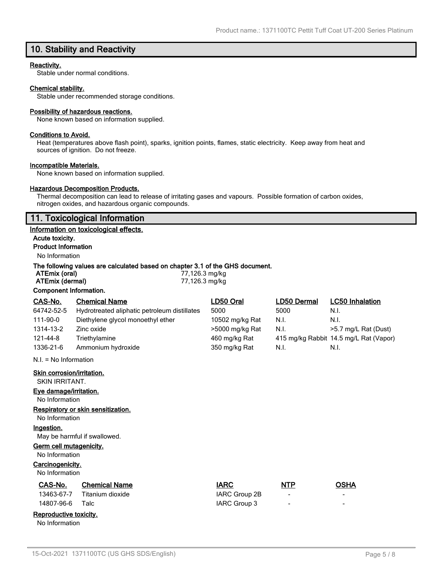### **10. Stability and Reactivity**

### **Reactivity.**

Stable under normal conditions.

### **Chemical stability.**

Stable under recommended storage conditions.

#### **Possibility of hazardous reactions.**

None known based on information supplied.

### **Conditions to Avoid.**

Heat (temperatures above flash point), sparks, ignition points, flames, static electricity. Keep away from heat and sources of ignition. Do not freeze.

#### **Incompatible Materials.**

None known based on information supplied.

### **Hazardous Decomposition Products.**

Thermal decomposition can lead to release of irritating gases and vapours. Possible formation of carbon oxides, nitrogen oxides, and hazardous organic compounds.

### **11. Toxicological Information**

#### **Information on toxicological effects.**

**Acute toxicity. Product Information**

### No Information

### **The following values are calculated based on chapter 3.1 of the GHS document.**

| ATEmix (oral)          |                      | 77,126.3 mg/kg |             |                        |
|------------------------|----------------------|----------------|-------------|------------------------|
| ATEmix (dermal)        |                      | 77,126.3 mg/kg |             |                        |
| Component Information. |                      |                |             |                        |
| CAS-No.                | <b>Chemical Name</b> | LD50 Oral      | LD50 Dermal | <b>LC50</b> Inhalation |

| UAJ-INU.                | <b>UIBIIIUAI INAIIIE</b>                     | LDJV VIJI       | LUJU DUNINGI | LUJU IIIIIalauvII                      |
|-------------------------|----------------------------------------------|-----------------|--------------|----------------------------------------|
| 64742-52-5              | Hydrotreated aliphatic petroleum distillates | 5000            | 5000         | N.I.                                   |
| 111-90-0                | Diethylene glycol monoethyl ether            | 10502 mg/kg Rat | N.I.         | N.I.                                   |
| 1314-13-2               | Zinc oxide                                   | >5000 mg/kg Rat | N.I.         | >5.7 mg/L Rat (Dust)                   |
| 121-44-8                | Triethylamine                                | 460 mg/kg Rat   |              | 415 mg/kg Rabbit 14.5 mg/L Rat (Vapor) |
| 1336-21-6               | Ammonium hydroxide                           | 350 mg/kg Rat   | N.I.         | N.I.                                   |
| $N.I. = No$ Information |                                              |                 |              |                                        |

#### **Skin corrosion/irritation.**

SKIN IRRITANT.

**Eye damage/irritation.**

No Information

### **Respiratory or skin sensitization.**

No Information

### **Ingestion.**

May be harmful if swallowed.

### **Germ cell mutagenicity.**

No Information

### **Carcinogenicity.**

No Information

| CAS-No. | <b>Chemical Name</b>        | <b>IARC</b>   | <b>NTP</b> | OSHA |
|---------|-----------------------------|---------------|------------|------|
|         | 13463-67-7 Titanium dioxide | IARC Group 2B |            |      |

# 14807-96-6 Talc IARC Group 3 - -

# **Reproductive toxicity.**

No Information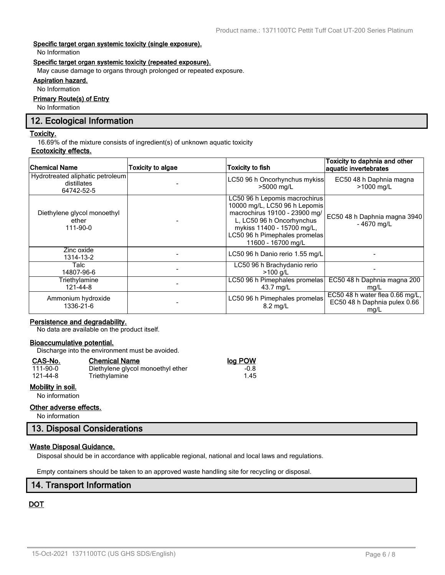### **Specific target organ systemic toxicity (single exposure).**

No Information

### **Specific target organ systemic toxicity (repeated exposure).**

May cause damage to organs through prolonged or repeated exposure.

### **Aspiration hazard.**

No Information

### **Primary Route(s) of Entry**

No Information

### **12. Ecological Information**

#### **Toxicity.**

16.69% of the mixture consists of ingredient(s) of unknown aquatic toxicity

### **Ecotoxicity effects.**

| <b>Chemical Name</b>                                          | Toxicity to algae | <b>Toxicity to fish</b>                                                                                                                                                                                           | Toxicity to daphnia and other<br>aquatic invertebrates                  |
|---------------------------------------------------------------|-------------------|-------------------------------------------------------------------------------------------------------------------------------------------------------------------------------------------------------------------|-------------------------------------------------------------------------|
| Hydrotreated aliphatic petroleum<br>distillates<br>64742-52-5 |                   | LC50 96 h Oncorhynchus mykiss<br>>5000 mg/L                                                                                                                                                                       | EC50 48 h Daphnia magna<br>>1000 mg/L                                   |
| Diethylene glycol monoethyl<br>ether<br>111-90-0              |                   | LC50 96 h Lepomis macrochirus<br>10000 mg/L, LC50 96 h Lepomis<br>macrochirus 19100 - 23900 mg/<br>L, LC50 96 h Oncorhynchus<br>mykiss 11400 - 15700 mg/L,<br>LC50 96 h Pimephales promelas<br>11600 - 16700 mg/L | EC50 48 h Daphnia magna 3940<br>$-4670$ mg/L                            |
| Zinc oxide<br>1314-13-2                                       |                   | LC50 96 h Danio rerio 1.55 mg/L                                                                                                                                                                                   |                                                                         |
| Talc<br>14807-96-6                                            |                   | LC50 96 h Brachydanio rerio<br>$>100$ g/L                                                                                                                                                                         |                                                                         |
| Triethylamine<br>121-44-8                                     |                   | LC50 96 h Pimephales promelas<br>43.7 mg/L                                                                                                                                                                        | EC50 48 h Daphnia magna 200<br>mg/L                                     |
| Ammonium hydroxide<br>1336-21-6                               |                   | LC50 96 h Pimephales promelas<br>$8.2 \text{ mg/L}$                                                                                                                                                               | EC50 48 h water flea 0.66 mg/L,<br>EC50 48 h Daphnia pulex 0.66<br>mg/L |

### **Persistence and degradability.**

No data are available on the product itself.

### **Bioaccumulative potential.**

Discharge into the environment must be avoided.

Triethylamine

#### **CAS-No. Chemical Name log POW**

|  | 111-90-0 |  |
|--|----------|--|
|  | 121-44-8 |  |

### **Mobility in soil.**

No information

### **Other adverse effects.**

No information

### **13. Disposal Considerations**

### **Waste Disposal Guidance.**

Disposal should be in accordance with applicable regional, national and local laws and regulations.

Empty containers should be taken to an approved waste handling site for recycling or disposal.

### **14. Transport Information**

### **DOT**

1.00 Diethylene glycol monoethyl ether -0.8<br>1.45 Triethylamine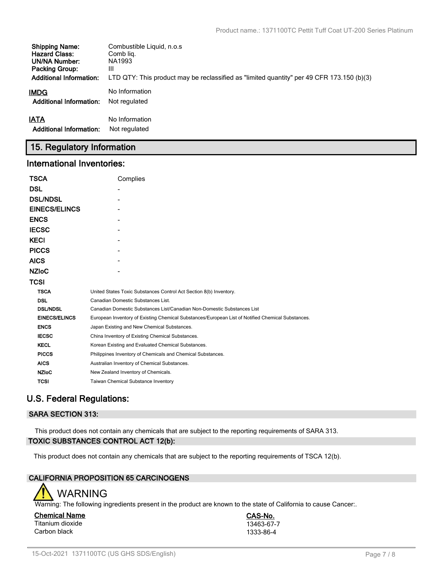| <b>Shipping Name:</b>          | Combustible Liquid, n.o.s.                                                                |
|--------------------------------|-------------------------------------------------------------------------------------------|
| <b>Hazard Class:</b>           | Comb lig.                                                                                 |
| UN/NA Number:                  | NA1993                                                                                    |
| <b>Packing Group:</b>          | Ш                                                                                         |
| <b>Additional Information:</b> | LTD QTY: This product may be reclassified as "limited quantity" per 49 CFR 173.150 (b)(3) |
| IMDG                           | No Information                                                                            |
| <b>Additional Information:</b> | Not regulated                                                                             |
| IATA                           | No Information                                                                            |
| <b>Additional Information:</b> | Not regulated                                                                             |

# **15. Regulatory Information**

### **International Inventories:**

| <b>TSCA</b>          | Complies                                                                                          |
|----------------------|---------------------------------------------------------------------------------------------------|
| <b>DSL</b>           |                                                                                                   |
| <b>DSL/NDSL</b>      |                                                                                                   |
| <b>EINECS/ELINCS</b> |                                                                                                   |
| <b>ENCS</b>          |                                                                                                   |
| <b>IECSC</b>         |                                                                                                   |
| <b>KECI</b>          |                                                                                                   |
| <b>PICCS</b>         |                                                                                                   |
| <b>AICS</b>          |                                                                                                   |
| <b>NZIOC</b>         |                                                                                                   |
| <b>TCSI</b>          |                                                                                                   |
| <b>TSCA</b>          | United States Toxic Substances Control Act Section 8(b) Inventory.                                |
| <b>DSL</b>           | Canadian Domestic Substances List.                                                                |
| <b>DSL/NDSL</b>      | Canadian Domestic Substances List/Canadian Non-Domestic Substances List                           |
| <b>EINECS/ELINCS</b> | European Inventory of Existing Chemical Substances/European List of Notified Chemical Substances. |
| <b>ENCS</b>          | Japan Existing and New Chemical Substances.                                                       |
| <b>IECSC</b>         | China Inventory of Existing Chemical Substances.                                                  |
| <b>KECL</b>          | Korean Existing and Evaluated Chemical Substances.                                                |
| <b>PICCS</b>         | Philippines Inventory of Chemicals and Chemical Substances.                                       |
| <b>AICS</b>          | Australian Inventory of Chemical Substances.                                                      |
| <b>NZIoC</b>         | New Zealand Inventory of Chemicals.                                                               |
| <b>TCSI</b>          | Taiwan Chemical Substance Inventory                                                               |

# **U.S. Federal Regulations:**

### **SARA SECTION 313:**

This product does not contain any chemicals that are subject to the reporting requirements of SARA 313. **TOXIC SUBSTANCES CONTROL ACT 12(b):**

This product does not contain any chemicals that are subject to the reporting requirements of TSCA 12(b).

### **CALIFORNIA PROPOSITION 65 CARCINOGENS**



Warning: The following ingredients present in the product are known to the state of California to cause Cancer:.

**Chemical Name CAS-No.** Titanium dioxide 13463-67-7<br>Carbon black 1333-86-4 Carbon black